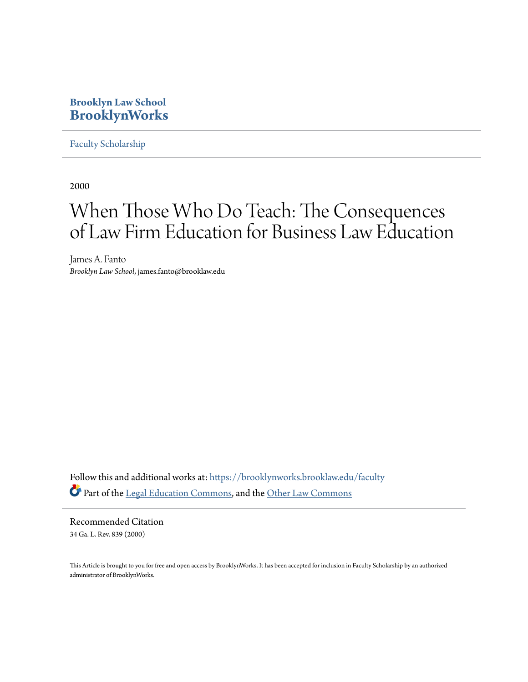# **Brooklyn Law School [BrooklynWorks](https://brooklynworks.brooklaw.edu?utm_source=brooklynworks.brooklaw.edu%2Ffaculty%2F181&utm_medium=PDF&utm_campaign=PDFCoverPages)**

[Faculty Scholarship](https://brooklynworks.brooklaw.edu/faculty?utm_source=brooklynworks.brooklaw.edu%2Ffaculty%2F181&utm_medium=PDF&utm_campaign=PDFCoverPages)

2000

# When Those Who Do Teach: The Consequences of Law Firm Education for Business Law Education

James A. Fanto *Brooklyn Law School*, james.fanto@brooklaw.edu

Follow this and additional works at: [https://brooklynworks.brooklaw.edu/faculty](https://brooklynworks.brooklaw.edu/faculty?utm_source=brooklynworks.brooklaw.edu%2Ffaculty%2F181&utm_medium=PDF&utm_campaign=PDFCoverPages) Part of the [Legal Education Commons,](http://network.bepress.com/hgg/discipline/857?utm_source=brooklynworks.brooklaw.edu%2Ffaculty%2F181&utm_medium=PDF&utm_campaign=PDFCoverPages) and the [Other Law Commons](http://network.bepress.com/hgg/discipline/621?utm_source=brooklynworks.brooklaw.edu%2Ffaculty%2F181&utm_medium=PDF&utm_campaign=PDFCoverPages)

Recommended Citation 34 Ga. L. Rev. 839 (2000)

This Article is brought to you for free and open access by BrooklynWorks. It has been accepted for inclusion in Faculty Scholarship by an authorized administrator of BrooklynWorks.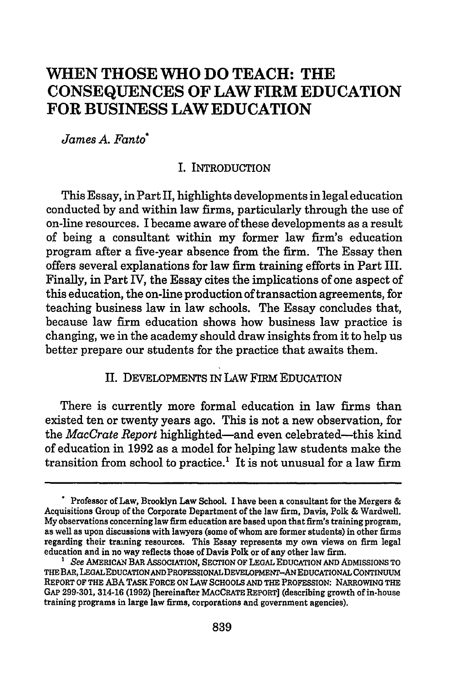## **WHEN THOSE** WHO **DO TEACH:** THE **CONSEQUENCES** OF LAW FIRM **EDUCATION** FOR **BUSINESS** LAW **EDUCATION**

*James A. Fanto\**

#### I. INTRODUCTION

This Essay, in Part II, highlights developments in legal education conducted **by** and within law firms, particularly through the use of on-line resources. I became aware of these developments as a result of being a consultant within my former law firm's education program after a five-year absence from the firm. The Essay then offers several explanations for law firm training efforts in Part III. Finally, in Part IV, the Essay cites the implications of one aspect of this education, the on-line production of transaction agreements, for teaching business law in law schools. The Essay concludes that, because law firm education shows how business law practice is changing, we in the academy should draw insights from it to help us better prepare our students for the practice that awaits them.

### II. DEVELOPMENTS IN LAw FIRM EDUCATION

There is currently more formal education in law firms than existed ten or twenty years ago. This is not a new observation, for the *MacCrate Report* highlighted-and even celebrated-this kind of education in **1992** as a model for helping law students make the transition from school to practice.<sup>1</sup> It is not unusual for a law firm

**<sup>-</sup>** Professor of Law, Brooklyn Law School. I have been a consultant for the Mergers **&** Acquisitions Group of the Corporate Department of the law firm, Davis, Polk **&** Wardwell. **My** observations concerning law firm education are based upon that firm's training program, as well as upon discussions with lawyers (some of whom are former students) in other firms regarding their training resources. This Essay represents my own views on firm legal education and in no way reflects those of Davis Polk or of any other law firm.

*<sup>&#</sup>x27;* See AMERICAN *BAR* ASSOCIATION, **SECTION** OF **LEGAL EDUCATION AND** ADMISSIONS TO THE BAR, LEGALEDUCATIONANDPROFESSIONALDEVELOPMENT-ANEDUCATIONAL **CONTINUUM** REPORT OF THE **ABA** TASK FORCE **ON** LAW **SCHOOLS AND** THE PROFESSION: NARROWING THE GAP **299-301,** 314-16 **(1992)** [hereinafter MACCRATE REPORT] (describing growth of in-house training programs in large law firms, corporations and government agencies).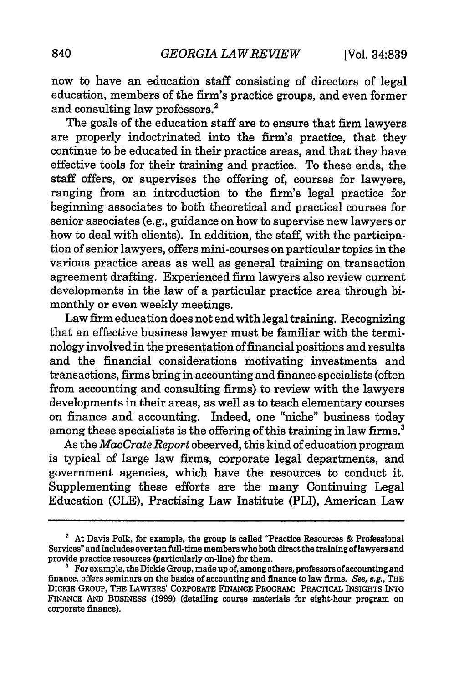now to have an education staff consisting of directors of legal education, members of the firm's practice groups, and even former and consulting law professors.2

The goals of the education staff are to ensure that firm lawyers are properly indoctrinated into the firm's practice, that they continue to be educated in their practice areas, and that they have effective tools for their training and practice. To these ends, the staff offers, or supervises the offering of, courses for lawyers, ranging from an introduction to the firm's legal practice for beginning associates to both theoretical and practical courses for senior associates (e.g., guidance on how to supervise new lawyers or how to deal with clients). In addition, the staff, with the participation of senior lawyers, offers mini-courses on particular topics in the various practice areas as well as general training on transaction agreement drafting. Experienced firm lawyers also review current developments in the law of a particular practice area through bimonthly or even weekly meetings.

Law firm education does not end with legal training. Recognizing that an effective business lawyer must be familiar with the terminology involved in the presentation of financial positions and results and the financial considerations motivating investments and transactions, firms bring in accounting and finance specialists (often from accounting and consulting firms) to review with the lawyers developments in their areas, as well as to teach elementary courses on finance and accounting. Indeed, one "niche" business today among these specialists is the offering of this training in law firms.<sup>3</sup>

As the *MacCrate Report* observed, this kind of education program is typical of large law firms, corporate legal departments, and government agencies, which have the resources to conduct it. Supplementing these efforts are the many Continuing Legal Education (CLE), Practising Law Institute (PLI), American Law

**<sup>2</sup>** At Davis Polk, for example, the group is called "Practice Resources **&** Professional Services" and includes over ten full-time members who both direct the training of lawyers and provide practice resources (particularly on-line) for them.

<sup>&</sup>lt;sup>3</sup> For example, the Dickie Group, made up of, among others, professors of accounting and finance, offers seminars on the basics of accounting and finance to law firms. See, **e.g.,** THE DICKIE GROUP, THE LAWYERS' CORPORATE **FINANCE** PROGRAM: PRACTICAL INSIGHTS INTO **FINANCE AND** BUSINESS **(1999)** (detailing course materials for eight-hour program on corporate finance).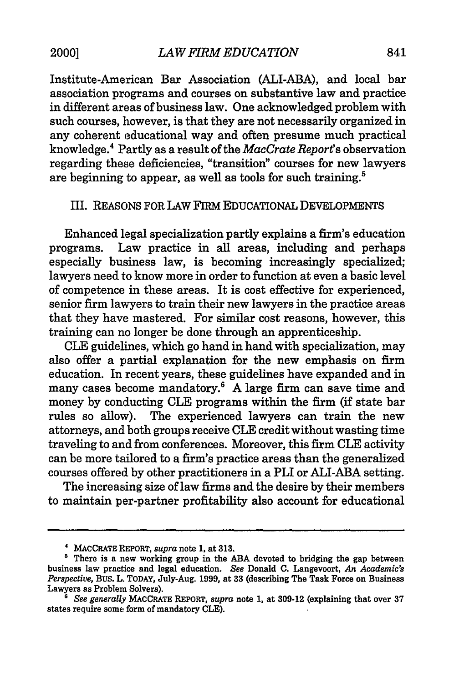Institute-American Bar Association (ALI-ABA), and local bar association programs and courses on substantive law and practice in different areas of business law. One acknowledged problem with such courses, however, is that they are not necessarily organized in any coherent educational way and often presume much practical knowledge.4 Partly as a result of the *MacCrate Report's* observation regarding these deficiencies, "transition" courses for new lawyers are beginning to appear, as well as tools for such training.<sup>5</sup>

### III. REASONS FOR LAW FIRM EDUCATIONAL DEVELOPMENTS

Enhanced legal specialization partly explains a firm's education programs. Law practice in all areas, including and perhaps especially business law, is becoming increasingly specialized; lawyers need to know more in order to function at even a basic level of competence in these areas. It is cost effective for experienced, senior firm lawyers to train their new lawyers in the practice areas that they have mastered. For similar cost reasons, however, this training can no longer be done through an apprenticeship.

**CLE** guidelines, which go hand in hand with specialization, may also offer a partial explanation for the new emphasis on firm education. In recent years, these guidelines have expanded and in many cases become mandatory.<sup>6</sup> A large firm can save time and money by conducting **CLE** programs within the firm (if state bar rules so allow). The experienced lawyers can train the new attorneys, and both groups receive **CLE** credit without wasting time traveling to and from conferences. Moreover, this firm **CLE** activity can be more tailored to a firm's practice areas than the generalized courses offered by other practitioners in a PLI or ALI-ABA setting.

The increasing size of law firms and the desire by their members to maintain per-partner profitability also account for educational

**<sup>4</sup> MACCRATE REPORT,** *supra* note *1,* at **313.**

**<sup>&#</sup>x27;** There is a new working group in the **ABA** devoted to bridging the gap between business law practice and legal education. *See* Donald **C.** Langevoort, *An Academic's Perspective,* Bus. L. TODAY, July.Aug. 1999, at 33 (describing The Task Force on Business Lawyers as Problem Solvers).

*<sup>&</sup>quot; See generally* **MACCRATE** REPORT, *supra* note 1, at 309-12 (explaining that over 37 states require some form of mandatory **CLE).**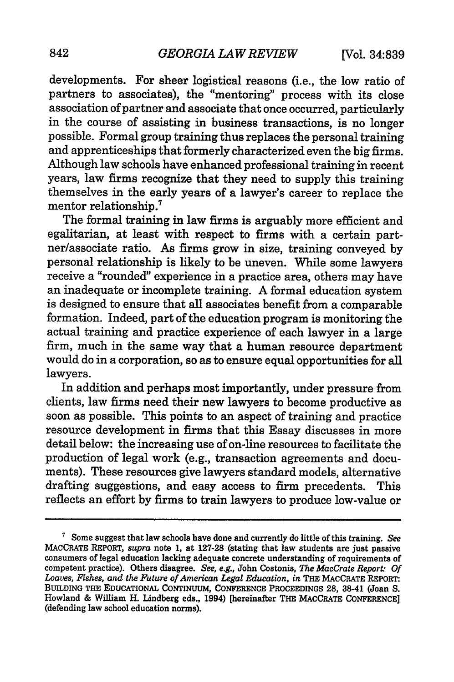developments. For sheer logistical reasons (i.e., the low ratio of partners to associates), the "mentoring" process with its close association of partner and associate that once occurred, particularly in the course of assisting in business transactions, is no longer possible. Formal group training thus replaces the personal training and apprenticeships that formerly characterized even the big firms. Although law schools have enhanced professional training in recent years, law firms recognize that they need to supply this training themselves in the early years of a lawyer's career to replace the mentor relationship.'

The formal training in law firms is arguably more efficient and egalitarian, at least with respect to firms with a certain partner/associate ratio. As firms grow in size, training conveyed by personal relationship is likely to be uneven. While some lawyers receive a "rounded" experience in a practice area, others may have an inadequate or incomplete training. A formal education system is designed to ensure that all associates benefit from a comparable formation. Indeed, part of the education program is monitoring the actual training and practice experience of each lawyer in a large firm, much in the same way that a human resource department would do in a corporation, so as to ensure equal opportunities for all lawyers.

In addition and perhaps most importantly, under pressure from clients, law firms need their new lawyers to become productive as soon as possible. This points to an aspect of training and practice resource development in firms that this Essay discusses in more detail below: the increasing use of on-line resources to facilitate the production of legal work (e.g., transaction agreements and documents). These resources give lawyers standard models, alternative drafting suggestions, and easy access to firm precedents. This reflects an effort by firms to train lawyers to produce low-value or

**<sup>&#</sup>x27;** Some suggest that law schools have done and currently do little of this training. *See* consumers of legal education lacking adequate concrete understanding of requirements of competent practice). Others disagree. *See, e.g.,* John Costonis, *The MacCrate Report: Of Loaves, Fishes, and the Future of American Legal Education, in* THE **MACcRATE** REPORT: **BUILDING** THE **EDUCATIONAL CONTINUUM, CONFERENCE PROCEEDINGS 28,** 38-41 (Joan **S.** Howland **&** William H. Lindberg eds., 1994) [hereinafter THE MACORATE **CONFERENCE]** (defending law school education norms).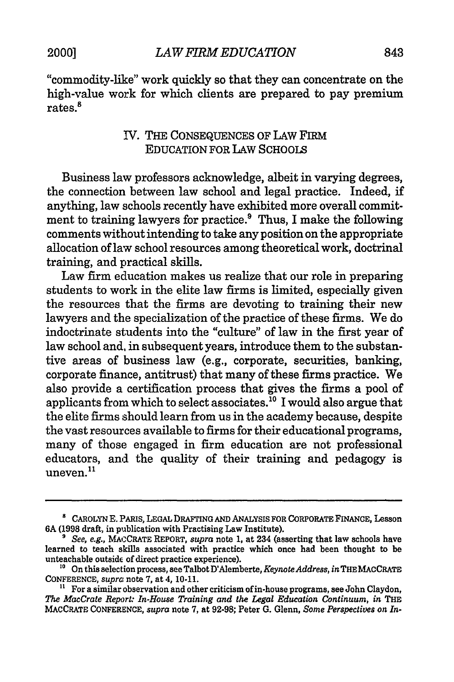"commodity-like" work quickly so that they can concentrate on the high-value work for which clients are prepared to pay premium rates.<sup>8</sup>

## IV. THE CONSEQUENCES OF LAW FIRM EDUCATION FOR LAW SCHOOLS

Business law professors acknowledge, albeit in varying degrees, the connection between law school and legal practice. Indeed, if anything, law schools recently have exhibited more overall commitment to training lawyers for practice.<sup>9</sup> Thus, I make the following comments without intending to take any position on the appropriate allocation of law school resources among theoretical work, doctrinal training, and practical skills.

Law firm education makes us realize that our role in preparing students to work in the elite law firms is limited, especially given the resources that the firms are devoting to training their new lawyers and the specialization of the practice of these firms. We do indoctrinate students into the "culture" of law in the first year of law school and, in subsequent years, introduce them to the substantive areas of business law (e.g., corporate, securities, banking, corporate finance, antitrust) that many of these firms practice. We also provide a certification process that gives the firms a pool of applicants from which to select associates."0 I would also argue that the elite firms should learn from us in the academy because, despite the vast resources available to firms for their educational programs, many of those engaged in firm education are not professional educators, and the quality of their training and pedagogy is uneven.<sup>11</sup>

**<sup>8</sup>** CAROLYN E. PARIS, LEGAL DRAFTING AND ANALYSIS FOR CORPORATE FINANCE, Lesson 6A (1998 draft, in publication with Practising Law Institute).

*<sup>9</sup>See, e.g.,* MACCRATE REPORT, *supra* note 1, at 234 (asserting that law schools have learned to teach skills associated with practice which once had been thought to be unteachable outside of direct practice experience).

**<sup>10</sup>** On this selection process, see Talbot D'Alemberte, *Keynote Address, in* THEMACCRATE CONFERENCE, *supra* note 7, at 4, 10-11.

**<sup>&</sup>quot;** For a similar observation and other criticism ofin-house programs, see John Claydon, *The MacCrate Report: In-House Training and the Legal Education Continuum, in THE* MACCRATE **CONFERENCE,** *supra* note **7,** at **92-98;** Peter **G.** Glenn, *Some Perspectives on In-*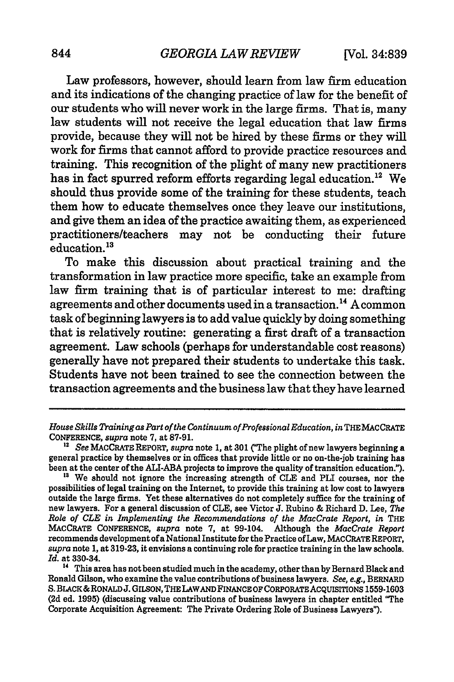Law professors, however, should learn from law firm education and its indications of the changing practice of law for the benefit of our students who will never work in the large firms. That is, many law students will not receive the legal education that law firms provide, because they will not be hired by these firms or they will work for firms that cannot afford to provide practice resources and training. This recognition of the plight of many new practitioners has in fact spurred reform efforts regarding legal education.<sup>12</sup> We should thus provide some of the training for these students, teach them how to educate themselves once they leave our institutions, and give them an idea of the practice awaiting them, as experienced practitioners/teachers may not be conducting their future education.<sup>13</sup>

To make this discussion about practical training and the transformation in law practice more specific, take an example from law firm training that is of particular interest to me: drafting agreements and other documents used in a transaction.<sup>14</sup> A common task of beginning lawyers is to add value quickly by doing something that is relatively routine: generating a first draft of a transaction agreement. Law schools (perhaps for understandable cost reasons) generally have not prepared their students to undertake this task. Students have not been trained to see the connection between the transaction agreements and the business law that they have learned

*House Skills Training as Part of the Continuum of Professional Education, in* THE MACCRATE CONFERENCE, *supra* note **7,** at **87-91. 1"** *See* MAcCRATE REPORT, *supra* note 1, at **301** ("The plight of new lawyers beginning a

general practice by themselves or in offices that provide little or no on-the-job training has been at the center of the ALI-ABA projects to improve the quality of transition education.").

<sup>&</sup>lt;sup>13</sup> We should not ignore the increasing strength of CLE and PLI courses, nor the possibilities of legal training on the Internet, to provide this training at low cost to lawyers outside the large firms. Yet these alternatives do not completely suffice for the training of new lawyers. For a general discussion of CLE, see Victor J. Rubino & Richard D. Lee, *The Role of CLE in Implementing the Recommendations of the MacCrate Report, in THE* MACCRATE CONFERENCE, *supra* note 7, at 99-104. Although the *MacCrate Report* recommends development of a National Institute for the Practice of Law, MACCRATE REPORT, *supra* note 1, at 319-23, it envisions a continuing role for practice training in the law schools. *Id.* at 330-34.

**<sup>14</sup>** This area has not been studied much in the academy, other than by Bernard Black and Ronald Gilson, who examine the value contributions of business lawyers. *See, e.g.,* BERNARD **S.** BLACK&RONALDJ. **GILSON,** THE LAWAND FINANCE OF CORPORATE **ACQUISITIONS 1559-1603 (2d** ed. **1995)** (discussing value contributions of business lawyers in chapter entitled "The Corporate Acquisition Agreement: The Private Ordering Role of Business Lawyers").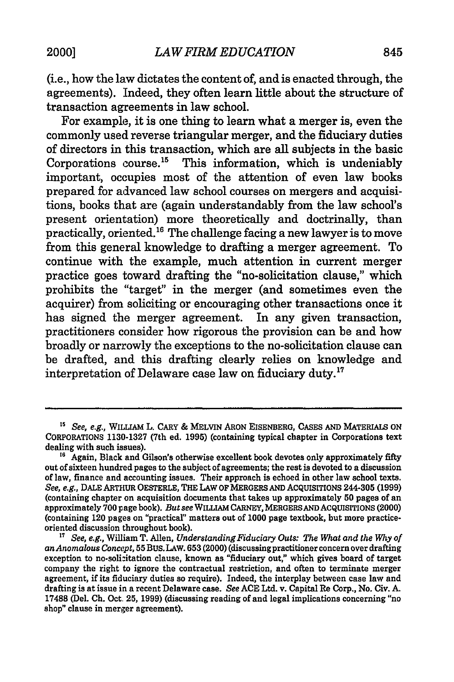(i.e., how the law dictates the content of, and is enacted through, the agreements). Indeed, they often learn little about the structure of transaction agreements in law school.

For example, it is one thing to learn what a merger is, even the commonly used reverse triangular merger, and the fiduciary duties of directors in this transaction, which are all subjects in the basic Corporations course.<sup>15</sup> This information, which is undeniably important, occupies most of the attention of even law books prepared for advanced law school courses on mergers and acquisitions, books that are (again understandably from the law school's present orientation) more theoretically and doctrinally, than practically, oriented.<sup>16</sup> The challenge facing a new lawyer is to move from this general knowledge to drafting a merger agreement. To continue with the example, much attention in current merger practice goes toward drafting the "no-solicitation clause," which prohibits the "target" in the merger (and sometimes even the acquirer) from soliciting or encouraging other transactions once it has signed the merger agreement. In any given transaction, practitioners consider how rigorous the provision can be and how broadly or narrowly the exceptions to the no-solicitation clause can be drafted, and this drafting clearly relies on knowledge and interpretation of Delaware case law on fiduciary duty.<sup>17</sup>

**<sup>15</sup>** See, e.g., WILLIAM L. CARY **&** MELVIN ARON EISENBERG, **CASES AND** MATERIALS **ON** CORPORATIONS 1130-1327 (7th ed. **1995)** (containing typical chapter in Corporations text dealing with such issues).

<sup>&</sup>lt;sup>16</sup> Again, Black and Gilson's otherwise excellent book devotes only approximately fifty out of sixteen hundred pages to the subject of agreements; the rest is devoted to a discussion of law, finance and accounting issues. Their approach is echoed in other law school texts. *See, e.g.,* **DALE** ARTHUR OESTERLE, THE LAW OF MERGERS **AND** AcQUISITIONS 244-305 (1999) (containing chapter on acquisition documents that takes up approximately **50** pages of an approximately 700 page book). *But see* WILLIAM CARNEY, MERGERSANDACQUISrrIONS (2000) (containing 120 pages **on** "practical" matters **out** of **1000** page textbook, but more practiceoriented discussion throughout book).

<sup>&</sup>lt;sup>17</sup> See, e.g., William T. Allen, Understanding Fiduciary Outs: The What and the Why of an Anomalous Concept, 55 BUS. LAW. 653 (2000) (discussing practitioner concern over drafting exception to no-solicitation clause, known as "fiduciary out," which gives board of target company the right to ignore the contractual restriction, and often to terminate merger agreement, if its fiduciary duties so require). Indeed, the interplay between case law and drafting is at issue in a recent Delaware case. *See* **ACE** Ltd. v. Capital Re Corp., No. Civ. **A.** 17488 (Del. **Ch.** Oct. **25,** 1999) (discussing reading of and legal implications concerning "no shop" clause in merger agreement).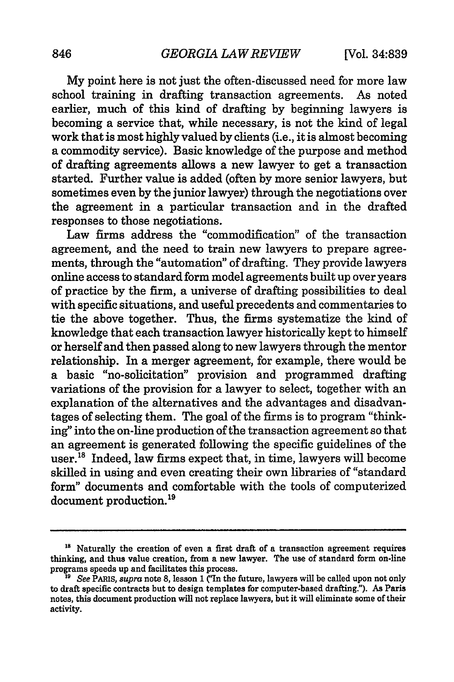My point here is not just the often-discussed need for more law school training in drafting transaction agreements. As noted earlier, much of this kind of drafting by beginning lawyers is becoming a service that, while necessary, is not the kind of legal work that is most highly valued by clients (i.e., it is almost becoming a commodity service). Basic knowledge of the purpose and method of drafting agreements allows a new lawyer to get a transaction started. Further value is added (often by more senior lawyers, but sometimes even by the junior lawyer) through the negotiations over the agreement in a particular transaction and in the drafted responses to those negotiations.

Law firms address the "commodification" of the transaction agreement, and the need to train new lawyers to prepare agreements, through the "automation" of drafting. They provide lawyers online access to standard form model agreements built up over years of practice by the firm, a universe of drafting possibilities to deal with specific situations, and useful precedents and commentaries to tie the above together. Thus, the firms systematize the kind of knowledge that each transaction lawyer historically kept to himself or herself and then passed along to new lawyers through the mentor relationship. In a merger agreement, for example, there would be a basic "no-solicitation" provision and programmed drafting variations of the provision for a lawyer to select, together with an explanation of the alternatives and the advantages and disadvantages of selecting them. The goal of the firms is to program "thinking" into the on-line production of the transaction agreement so that an agreement is generated following the specific guidelines of the user.<sup>18</sup> Indeed, law firms expect that, in time, lawyers will become skilled in using and even creating their own libraries of "standard form" documents and comfortable with the tools of computerized document production.<sup>19</sup>

**<sup>&</sup>quot;8** Naturally the creation of even a first draft of a transaction agreement requires thinking, and thus value creation, from a new lawyer. The use of standard form on-line programs speeds up and facilitates this process.

*See PARIS, supra note 8, lesson 1 ("In the future, lawyers will be called upon not only* to draft specific contracts but to design templates for computer-based drafting."). As Paris notes, this document production will not replace lawyers, but it will eliminate some of their activity.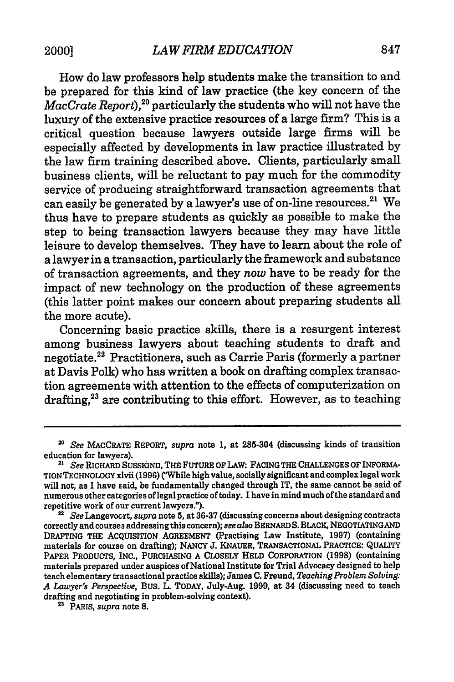How do law professors help students make the transition to and be prepared for this kind of law practice (the key concern of the  $MacCrate$   $Report$   $\rm P, ^{20}$   $particularly$  the students who will not have the luxury of the extensive practice resources of a large firm? This is a critical question because lawyers outside large firms will be especially affected by developments in law practice illustrated by the law firm training described above. Clients, particularly small business clients, will be reluctant to pay much for the commodity service of producing straightforward transaction agreements that can easily be generated by a lawyer's use of on-line resources.<sup>21</sup> We thus have to prepare students as quickly as possible to make the step to being transaction lawyers because they may have little leisure to develop themselves. They have to learn about the role of a lawyer in a transaction, particularly the framework and substance of transaction agreements, and they *now* have to be ready for the impact of new technology on the production of these agreements (this latter point makes our concern about preparing students all the more acute).

Concerning basic practice skills, there is a resurgent interest among business lawyers about teaching students to draft and negotiate.22 Practitioners, such as Carrie Paris (formerly a partner at Davis Polk) who has written a book on drafting complex transaction agreements with attention to the effects of computerization on drafting,<sup>23</sup> are contributing to this effort. However, as to teaching

*<sup>20</sup> See* MACCRATE REPORT, *supra* note 1, at 285-304 (discussing kinds of transition education for lawyers). **21** *See* RICHARD SUSKIIND, **THE** FUTURE OF LAW: FACING THE **CHALLENGES** OF INFORMA-

TION **TECHNOLOGY** xlvii **(1996)** CWhile high value, socially significant and complex legal work will not, as I have said, be fundamentally changed through IT, the same cannot be said of numerous other categories of legal practice of today. I have in mind much of the standard and repetitive work of our current lawyers.").

*<sup>&</sup>quot; See* Langevocrt, *supra* note **5,** at **36.37** (discussing concerns about designing contracts correctly and courses addressing this concern); *see also* BERNARD **S.** BLACK, **NEGOTIATINGAND** DRAFTING THE ACQUISITION AGREEMENT (Practising Law Institute, **1997)** (containing materials for course on drafting); NANCY **J. KNAUER, TRANSACTIONAL** PRACTICE: **QUALITY** PAPER **PRODUCTS, INC., PURCHASING A** CLOSELY **HELD** CORPORATION **(1998)** (containing materials prepared under auspices of National Institute for Trial Advocacy designed to help teach elementary transactional practice skills); James **C.** Freund, *TeachingProblem Solving: A Lawyer's Perspective,* BUS. L. TODAY, July-Aug. **1999,** at 34 (discussing need to teach drafting and negotiating in problem-solving context).

**<sup>2</sup>** PARIS, *supra* note **8.**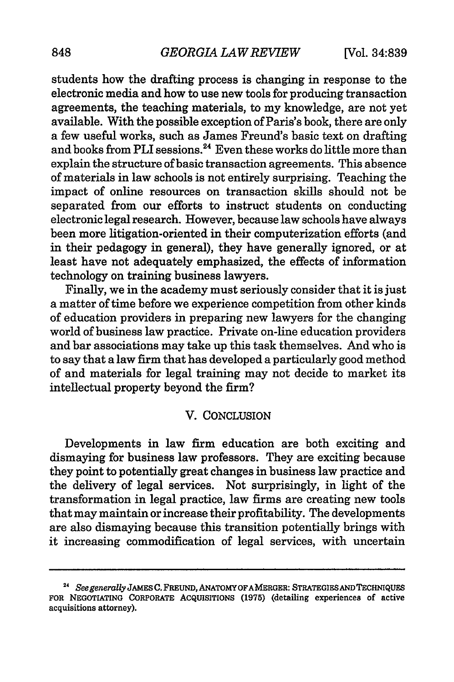students how the drafting process is changing in response to the electronic media and how to use new tools for producing transaction agreements, the teaching materials, to my knowledge, are not yet available. With the possible exception of Paris's book, there are only a few useful works, such as James Freund's basic text on drafting and books from PLI sessions.<sup>24</sup> Even these works do little more than explain the structure of basic transaction agreements. This absence of materials in law schools is not entirely surprising. Teaching the impact of online resources on transaction skills should not be separated from our efforts to instruct students on conducting electronic legal research. However, because law schools have always been more litigation-oriented in their computerization efforts (and in their pedagogy in general), they have generally ignored, or at least have not adequately emphasized, the effects of information technology on training business lawyers.

Finally, we in the academy must seriously consider that it is just a matter of time before we experience competition from other kinds of education providers in preparing new lawyers for the changing world of business law practice. Private on-line education providers and bar associations may take up this task themselves. And who is to say that a law firm that has developed a particularly good method of and materials for legal training may not decide to market its intellectual property beyond the firm?

#### V. CONCLUSION

Developments in law firm education are both exciting and dismaying for business law professors. They are exciting because they point to potentially great changes in business law practice and the delivery of legal services. Not surprisingly, in light of the transformation in legal practice, law firms are creating new tools that may maintain or increase their profitability. The developments are also dismaying because this transition potentially brings with it increasing commodification of legal services, with uncertain

**<sup>24</sup>***See generally* **JAMES** C. **FREUND, ANATOMY OFA MERGER: STRATEGIESAND TECHNIQUES FOR NEGOTIATING CORPORATE ACQUISITIONS (1975)** (detailing experiences of active acquisitions attorney).